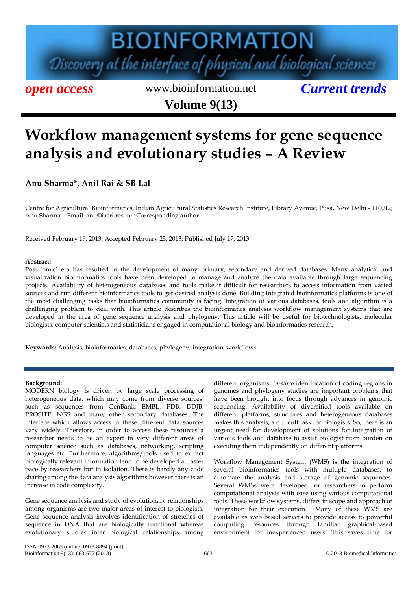# **BIOINFORMATION**

Discovery at the interface of physical and biological sciences

*open access* www.bioinformation.net *Current trends* **Volume 9(13)**

### **Workflow management systems for gene sequence analysis and evolutionary studies – A Review**

**Anu Sharma\*, Anil Rai & SB Lal**

Centre for Agricultural Bioinformatics, Indian Agricultural Statistics Research Institute, Library Avenue, Pusa, New Delhi - 110012; Anu Sharma – Email: anu@iasri.res.in; \*Corresponding author

Received February 19, 2013; Accepted February 23, 2013; Published July 17, 2013

#### **Abstract:**

Post 'omic' era has resulted in the development of many primary, secondary and derived databases. Many analytical and visualization bioinformatics tools have been developed to manage and analyze the data available through large sequencing projects. Availability of heterogeneous databases and tools make it difficult for researchers to access information from varied sources and run different bioinformatics tools to get desired analysis done. Building integrated bioinformatics platforms is one of the most challenging tasks that bioinformatics community is facing. Integration of various databases, tools and algorithm is a challenging problem to deal with. This article describes the bioinformatics analysis workflow management systems that are developed in the area of gene sequence analysis and phylogeny. This article will be useful for biotechnologists, molecular biologists, computer scientists and statisticians engaged in computational biology and bioinformatics research.

**Keywords:** Analysis, bioinformatics, databases, phylogeny, integration, workflows.

#### **Background:**

MODERN biology is driven by large scale processing of heterogeneous data, which may come from diverse sources, such as sequences from GenBank, EMBL, PDB, DDJB, PROSITE, NGS and many other secondary databases. The interface which allows access to these different data sources vary widely. Therefore, in order to access these resources a researcher needs to be an expert in very different areas of computer science such as databases, networking, scripting languages etc. Furthermore, algorithms/tools used to extract biologically relevant information tend to be developed at faster pace by researchers but in isolation. There is hardly any code sharing among the data analysis algorithms however there is an increase in code complexity.

Gene sequence analysis and study of evolutionary relationships among organisms are two major areas of interest to biologists. Gene sequence analysis involves identification of stretches of sequence in DNA that are biologically functional whereas evolutionary studies infer biological relationships among

different organisms. *In-silico* identification of coding regions in genomes and phylogeny studies are important problems that have been brought into focus through advances in genomic sequencing. Availability of diversified tools available on different platforms, structures and heterogeneous databases makes this analysis, a difficult task for biologists. So, there is an urgent need for development of solutions for integration of various tools and database to assist biologist from burden on executing them independently on different platforms.

Workflow Management System (WMS) is the integration of several bioinformatics tools with multiple databases, to automate the analysis and storage of genomic sequences. Several WMSs were developed for researchers to perform computational analysis with ease using various computational tools. These workflow systems, differs in scope and approach of integration for their execution. Many of these WMS are available as web based servers to provide access to powerful computing resources through familiar graphical-based environment for inexperienced users. This saves time for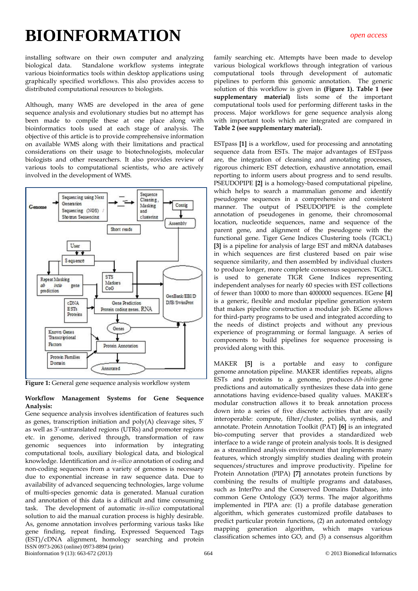installing software on their own computer and analyzing biological data. Standalone workflow systems integrate various bioinformatics tools within desktop applications using graphically specified workflows. This also provides access to distributed computational resources to biologists.

Although, many WMS are developed in the area of gene sequence analysis and evolutionary studies but no attempt has been made to compile these at one place along with bioinformatics tools used at each stage of analysis. The objective of this article is to provide comprehensive information on available WMS along with their limitations and practical considerations on their usage to biotechnologists, molecular biologists and other researchers. It also provides review of various tools to computational scientists, who are actively involved in the development of WMS.



Figure 1: General gene sequence analysis workflow system

#### **Workflow Management Systems for Gene Sequence Analysis:**

ISSN 0973-2063 (online) 0973-8894 (print) Bioinformation 9 (13): 663-672 (2013) 664 © 2013 Biomedical Informatics Gene sequence analysis involves identification of features such as genes, transcription initiation and poly(A) cleavage sites, 5' as well as 3'-untranslated regions (UTRs) and promoter regions etc. in genome, derived through, transformation of raw genomic sequences into information by integrating computational tools, auxiliary biological data, and biological knowledge. Identification and *in-silico* annotation of coding and non-coding sequences from a variety of genomes is necessary due to exponential increase in raw sequence data. Due to availability of advanced sequencing technologies, large volume of multi-species genomic data is generated. Manual curation and annotation of this data is a difficult and time consuming task. The development of automatic *in-silico* computational solution to aid the manual curation process is highly desirable. As, genome annotation involves performing various tasks like gene finding, repeat finding, Expressed Sequenced Tags (EST)/cDNA alignment, homology searching and protein

family searching etc. Attempts have been made to develop various biological workflows through integration of various computational tools through development of automatic pipelines to perform this genomic annotation. The generic solution of this workflow is given in **(Figure 1). Table 1 (see supplementary material)** lists some of the important computational tools used for performing different tasks in the process. Major workflows for gene sequence analysis along with important tools which are integrated are compared in **Table 2 (see supplementary material).**

ESTpass **[1]** is a workflow, used for processing and annotating sequence data from ESTs. The major advantages of ESTpass are, the integration of cleansing and annotating processes, rigorous chimeric EST detection, exhaustive annotation, email reporting to inform users about progress and to send results. PSEUDOPIPE **[2]** is a homology-based computational pipeline, which helps to search a mammalian genome and identify pseudogene sequences in a comprehensive and consistent manner. The output of PSEUDOPIPE is the complete annotation of pseudogenes in genome, their chromosomal location, nucleotide sequences, name and sequence of the parent gene, and alignment of the pseudogene with the functional gene. Tiger Gene Indices Clustering tools (TGICL) **[3]** is a pipeline for analysis of large EST and mRNA databases in which sequences are first clustered based on pair wise sequence similarity, and then assembled by individual clusters to produce longer, more complete consensus sequences. TGICL is used to generate TIGR Gene Indices representing independent analyses for nearly 60 species with EST collections of fewer than 10000 to more than 4000000 sequences. EGene **[4]** is a generic, flexible and modular pipeline generation system that makes pipeline construction a modular job. EGene allows for third-party programs to be used and integrated according to the needs of distinct projects and without any previous experience of programming or formal language. A series of components to build pipelines for sequence processing is provided along with this.

MAKER **[5]** is a portable and easy to configure genome [annotation](http://gmod.org/wiki/Category:Annotation) pipeline. MAKER identifies repeats, aligns ESTs and proteins to a genome, produces *Ab-initio* gene predictions and automatically synthesizes these data into gene annotations having evidence-based quality values. MAKER's modular construction allows it to break annotation process down into a series of five discrete activities that are easily interoperable: compute, filter/cluster, polish, synthesis, and annotate. Protein Annotation Toolkit (PAT) **[6]** is an integrated bio-computing server that provides a standardized web interface to a wide range of protein analysis tools. It is designed as a streamlined analysis environment that implements many features, which strongly simplify studies dealing with protein sequences/structures and improve productivity. Pipeline for Protein Annotation (PIPA) **[7]** annotates protein functions by combining the results of multiple programs and databases, such as InterPro and the Conserved Domains Database, into common Gene Ontology (GO) terms. The major algorithms implemented in PIPA are: (1) a profile database generation algorithm, which generates customized profile databases to predict particular protein functions, (2) an automated ontology mapping generation algorithm, which maps various classification schemes into GO, and (3) a consensus algorithm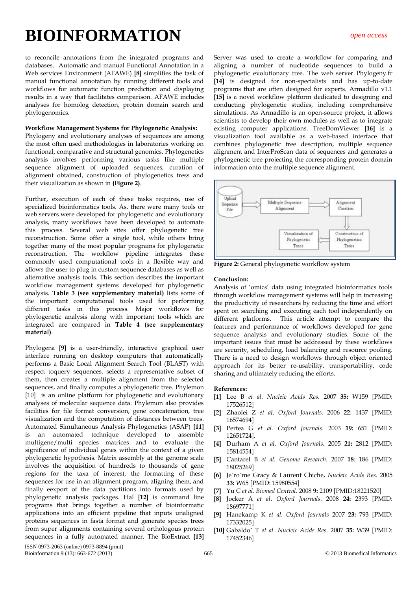to reconcile annotations from the integrated programs and databases. Automatic and manual Functional Annotation in a Web services Environment (AFAWE) **[8]** simplifies the task of manual functional annotation by running different tools and workflows for automatic function prediction and displaying results in a way that facilitates comparison. AFAWE includes analyses for homolog detection, protein domain search and phylogenomics.

#### **Workflow Management Systems for Phylogenetic Analysis:**

Phylogeny and evolutionary analyses of sequences are among the most often used methodologies in laboratories working on functional, comparative and structural genomics. Phylogenetics analysis involves performing various tasks like multiple sequence alignment of uploaded sequences, curation of alignment obtained, construction of phylogenetics tress and their visualization as shown in **(Figure 2)**.

Further, execution of each of these tasks requires, use of specialized bioinformatics tools. As, there were many tools or web servers were developed for phylogenetic and evolutionary analysis, many workflows have been developed to automate this process. Several web sites offer phylogenetic tree reconstruction. Some offer a single tool, while others bring together many of the most popular programs for phylogenetic reconstruction. The workflow pipeline integrates these commonly used computational tools in a flexible way and allows the user to plug in custom sequence databases as well as alternative analysis tools. This section describes the important workflow management systems developed for phylogenetic analysis. **Table 3 (see supplementary material)** lists some of the important computational tools used for performing different tasks in this process. Major workflows for phylogenetic analysis along with important tools which are integrated are compared in **Table 4 (see supplementary material)**.

Phylogena **[9]** is a user-friendly, interactive graphical user interface running on desktop computers that automatically performs a Basic Local Alignment Search Tool (BLAST) with respect toquery sequences, selects a representative subset of them, then creates a multiple alignment from the selected sequences, and finally computes a phylogenetic tree. Phylemon [10] is an online platform for phylogenetic and evolutionary analyses of molecular sequence data. Phylemon also provides facilities for file format conversion, gene concatenation, tree visualization and the computation of distances between trees. Automated Simultaneous Analysis Phylogenetics (ASAP) **[11]** is an automated technique developed to assemble multigene/multi species matrices and to evaluate the significance of individual genes within the context of a given phylogenetic hypothesis. Matrix assembly at the genome scale involves the acquisition of hundreds to thousands of gene regions for the taxa of interest, the formatting of these sequences for use in an alignment program, aligning them, and finally eexport of the data partitions into formats used by phylogenetic analysis packages. Hal **[12]** is command line programs that brings together a number of bioinformatic applications into an efficient pipeline that inputs unaligned proteins sequences in fasta format and generate species trees from super alignments containing several orthologous protein sequences in a fully automated manner. The BioExtract **[13]** Server was used to create a workflow for comparing and aligning a number of nucleotide sequences to build a phylogenetic evolutionary tree. The web server Phylogeny.fr **[14]** is designed for non-specialists and has up-to-date programs that are often designed for experts. Armadillo v1.1 **[15]** is a novel workflow platform dedicated to designing and conducting phylogenetic studies, including comprehensive simulations. As Armadillo is an open-source project, it allows scientists to develop their own modules as well as to integrate existing computer applications. TreeDomViewer **[16]** is a visualization tool available as a web-based interface that combines phylogenetic tree description, multiple sequence alignment and InterProScan data of sequences and generates a phylogenetic tree projecting the corresponding protein domain information onto the multiple sequence alignment.



**Figure 2:** General phylogenetic workflow system

#### **Conclusion:**

Analysis of 'omics' data using integrated bioinformatics tools through workflow management systems will help in increasing the productivity of researchers by reducing the time and effort spent on searching and executing each tool independently on different platforms. This article attempt to compare the features and performance of workflows developed for gene sequence analysis and evolutionary studies. Some of the important issues that must be addressed by these workflows are security, scheduling, load balancing and resource pooling. There is a need to design workflows through object oriented approach for its better re-usability, transportability, code sharing and ultimately reducing the efforts.

#### **References:**

- **[1]** Lee B *et al*. *Nucleic Acids Res*. 2007 **35:** W159 [PMID: 17526512]
- **[2]** Zhaolei Z *et al*. *Oxford Journals.* 2006 **22**: 1437 [PMID: 16574694]
- **[3]** Pertea G *et al. Oxford Journals.* 2003 **19:** 651 [PMID: 12651724].
- **[4]** Durham A *et al. Oxford Journals.* 2005 **21:** 2812 [PMID: 15814554]
- **[5]** Cantarel B *et al. Genome Research.* 2007 **18**: 186 [PMID: 18025269]
- **[6]** Je´roˆme Gracy & Laurent Chiche, *Nucleic Acids Res*. 2005 **33:** W65 [PMID: 15980554]
- **[7]** Yu C *et al. Biomed Central*. 2008 **9:** 2109 [PMID:18221520]
- **[8]** Jocker A *et al*. *Oxford Journals*. 2008 **24:** 2393 [PMID: 18697771]
- **[9]** Hanekamp K *et al. Oxford Journals* 2007 **23:** 793 [PMID: 17332025]
- **[10]** Gabaldo´ T *et al. Nucleic Acids Res*. 2007 **35:** W39 [PMID: 17452346]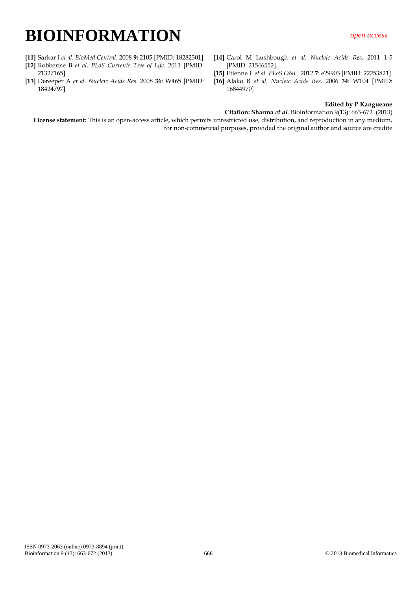- **[11]** Sarkar I *et al. BioMed Central.* 2008 **9:** 2105 [PMID: 18282301]
- **[12]** Robbertse B *et al*. *PLoS Currents Tree of Life.* 2011 [PMID: 21327165]
- **[13]** Dereeper A *et al. Nucleic Acids Res*. 2008 **36**: W465 [PMID: 18424797]
- **[14]** Carol M Lushbough *et al. Nucleic Acids Res.* 2011 1-5 [PMID: 21546552].
- **[15]** Etienne L *et al. PLoS ONE.* 2012 **7**: e29903 [PMID: 22253821]
- **[16]** Alako B *et al. Nucleic Acids Res*. 2006 **34**: W104 [PMID: 16844970]

#### **Edited by P Kangueane**

**Citation: Sharma** *et al.* Bioinformation 9(13): 663-672 (2013)

**License statement:** This is an open-access article, which permits unrestricted use, distribution, and reproduction in any medium, for non-commercial purposes, provided the original author and source are credite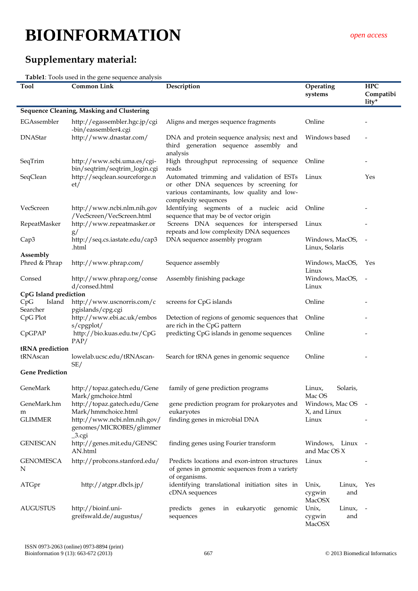### **Supplementary material:**

**Table1**: Tools used in the gene sequence analysis

| Tool                      | <b>Table1.</b> Tools ascu in the gene sequence analysis<br><b>Common Link</b> | Description                                                                                                                                                | Operating                                  | <b>HPC</b>               |
|---------------------------|-------------------------------------------------------------------------------|------------------------------------------------------------------------------------------------------------------------------------------------------------|--------------------------------------------|--------------------------|
|                           |                                                                               |                                                                                                                                                            | systems                                    | Compatibi<br>lity*       |
|                           | Sequence Cleaning, Masking and Clustering                                     |                                                                                                                                                            |                                            |                          |
| EGAssembler               | http://egassembler.hgc.jp/cgi<br>-bin/eassembler4.cgi                         | Aligns and merges sequence fragments                                                                                                                       | Online                                     |                          |
| <b>DNAStar</b>            | http://www.dnastar.com/                                                       | DNA and protein sequence analysis; next and<br>third generation sequence assembly and<br>analysis                                                          | Windows based                              |                          |
| SeqTrim                   | http://www.scbi.uma.es/cgi-<br>bin/seqtrim/seqtrim_login.cgi                  | High throughput reprocessing of sequence<br>reads                                                                                                          | Online                                     |                          |
| SeqClean                  | http://seqclean.sourceforge.n<br>et/                                          | Automated trimming and validation of ESTs<br>or other DNA sequences by screening for<br>various contaminants, low quality and low-<br>complexity sequences | Linux                                      | Yes                      |
| VecScreen                 | http://www.ncbi.nlm.nih.gov<br>/VecScreen/VecScreen.html                      | Identifying segments of a nucleic acid<br>sequence that may be of vector origin                                                                            | Online                                     |                          |
| RepeatMasker              | http://www.repeatmasker.or<br>g/                                              | Screens DNA sequences for interspersed<br>repeats and low complexity DNA sequences                                                                         | Linux                                      |                          |
| Cap3                      | http://seq.cs.iastate.edu/cap3<br>.html                                       | DNA sequence assembly program                                                                                                                              | Windows, MacOS,<br>Linux, Solaris          |                          |
| Assembly                  |                                                                               |                                                                                                                                                            |                                            |                          |
| Phred & Phrap             | http://www.phrap.com/                                                         | Sequence assembly                                                                                                                                          | Windows, MacOS,<br>Linux                   | Yes                      |
| Consed                    | http://www.phrap.org/conse<br>d/consed.html                                   | Assembly finishing package                                                                                                                                 | Windows, MacOS,<br>Linux                   | $\overline{\phantom{a}}$ |
| CpG Island prediction     |                                                                               |                                                                                                                                                            |                                            |                          |
| CpG<br>Island<br>Searcher | http://www.uscnorris.com/c<br>pgislands/cpg.cgi                               | screens for CpG islands                                                                                                                                    | Online                                     |                          |
| CpG Plot                  | http://www.ebi.ac.uk/embos<br>s/cpgplot/                                      | Detection of regions of genomic sequences that<br>are rich in the CpG pattern                                                                              | Online                                     |                          |
| CpGPAP                    | http://bio.kuas.edu.tw/CpG<br>PAP/                                            | predicting CpG islands in genome sequences                                                                                                                 | Online                                     |                          |
| tRNA prediction           |                                                                               |                                                                                                                                                            |                                            |                          |
| tRNAscan                  | lowelab.ucsc.edu/tRNAscan-<br>SE/                                             | Search for tRNA genes in genomic sequence                                                                                                                  | Online                                     |                          |
| <b>Gene Prediction</b>    |                                                                               |                                                                                                                                                            |                                            |                          |
| GeneMark                  | http://topaz.gatech.edu/Gene<br>Mark/gmchoice.html                            | family of gene prediction programs                                                                                                                         | Linux,<br>Solaris,<br>Mac OS               |                          |
| GeneMark.hm<br>m          | http://topaz.gatech.edu/Gene<br>Mark/hmmchoice.html                           | gene prediction program for prokaryotes and<br>eukaryotes                                                                                                  | Windows, Mac OS<br>X, and Linux            | $\overline{\phantom{a}}$ |
| <b>GLIMMER</b>            | http://www.ncbi.nlm.nih.gov/<br>genomes/MICROBES/glimmer<br>$_3$ .cgi         | finding genes in microbial DNA                                                                                                                             | Linux                                      |                          |
| <b>GENESCAN</b>           | http://genes.mit.edu/GENSC<br>AN.html                                         | finding genes using Fourier transform                                                                                                                      | Windows, Linux<br>and Mac OS X             |                          |
| <b>GENOMESCA</b><br>N     | http://probcons.stanford.edu/                                                 | Predicts locations and exon-intron structures<br>of genes in genomic sequences from a variety<br>of organisms.                                             | Linux                                      |                          |
| ATGpr                     | http://atgpr.dbcls.jp/                                                        | identifying translational initiation sites in<br>cDNA sequences                                                                                            | Unix,<br>Linux,<br>cygwin<br>and<br>MacOSX | Yes                      |
| <b>AUGUSTUS</b>           | http://bioinf.uni-<br>greifswald.de/augustus/                                 | predicts<br>eukaryotic<br>genomic<br>genes<br>in<br>sequences                                                                                              | Unix,<br>Linux,<br>cygwin<br>and<br>MacOSX | $\overline{\phantom{a}}$ |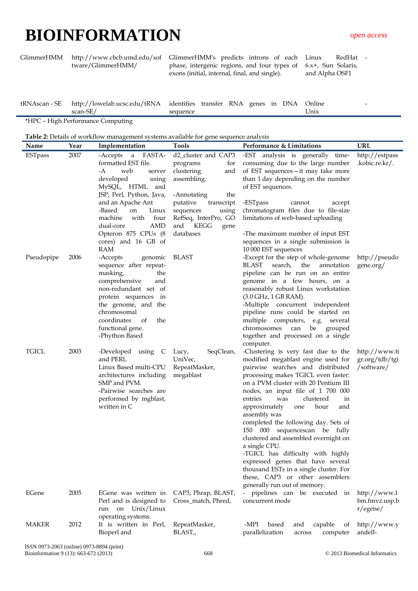-

[GlimmerHMM](http://nbc11.biologie.uni-kl.de/framed/left/menu/auto/right/glimmerhmm/) http://www.cbcb.umd.edu/sof tware/GlimmerHMM/

GlimmerHMM's predicts introns of each phase, intergenic regions, and four types of exons (initial, internal, final, and single).

Linux RedHat - 6.x+, Sun Solaris, and Alpha OSF1

|              | tRNAscan-SE http://lowelab.ucsc.edu/tRNA identifies transfer RNA genes in DNA Online |          |  |      |
|--------------|--------------------------------------------------------------------------------------|----------|--|------|
|              | scan-SE/                                                                             | sequence |  | Unix |
| $\mathbf{r}$ |                                                                                      |          |  |      |

\*HPC – High Performance Computing

| <b>Table 2:</b> Details of workflow management systems available for gene sequence analysis |  |  |  |
|---------------------------------------------------------------------------------------------|--|--|--|
|---------------------------------------------------------------------------------------------|--|--|--|

| Name         | Year | Implementation                                   | <b>Tools</b>                               | Performance & Limitations                                                 | <b>URL</b>              |
|--------------|------|--------------------------------------------------|--------------------------------------------|---------------------------------------------------------------------------|-------------------------|
| ESTpass      | 2007 | -Accepts a FASTA-                                | d2_cluster and CAP3                        | -EST analysis is generally time-                                          | http://estpass          |
|              |      | formatted EST file.                              | programs<br>for                            | consuming due to the large number                                         | .kobic.re.kr/.          |
|              |      | web<br>-A<br>server                              | clustering<br>and                          | of EST sequences-it may take more                                         |                         |
|              |      | developed<br>using                               | assembling.                                | than 1 day depending on the number                                        |                         |
|              |      | MySQL, HTML and                                  |                                            | of EST sequences.                                                         |                         |
|              |      | JSP, Perl, Python, Java,                         | -Annotating<br>the                         |                                                                           |                         |
|              |      | and an Apache Ant<br>-Based<br>Linux             | putative<br>transcript                     | -ESTpass<br>cannot<br>accept                                              |                         |
|              |      | on<br>machine<br>with<br>four                    | sequences<br>using<br>RefSeq, InterPro, GO | chromatogram files due to file-size<br>limitations of web-based uploading |                         |
|              |      | AMD<br>dual-core                                 | <b>KEGG</b><br>and<br>gene                 |                                                                           |                         |
|              |      | Opteron 875 CPUs (8                              | databases                                  | -The maximum number of input EST                                          |                         |
|              |      | cores) and 16 GB of                              |                                            | sequences in a single submission is                                       |                         |
|              |      | RAM                                              |                                            | 10 000 EST sequences                                                      |                         |
| Pseudopipe   | 2006 | -Accepts<br>genomic                              | BLAST                                      | -Except for the step of whole-genome                                      | http://pseudo           |
|              |      | sequence after repeat-                           |                                            | BLAST<br>annotation<br>search,<br>the                                     | gene.org/               |
|              |      | masking,<br>the                                  |                                            | pipeline can be run on an entire                                          |                         |
|              |      | comprehensive<br>and                             |                                            | genome in a few hours, on a                                               |                         |
|              |      | non-redundant set of<br>protein sequences in     |                                            | reasonably robust Linux workstation                                       |                         |
|              |      | the genome, and the                              |                                            | (3.0 GHz, 1 GB RAM).<br>-Multiple concurrent independent                  |                         |
|              |      | chromosomal                                      |                                            | pipeline runs could be started on                                         |                         |
|              |      | coordinates<br>of<br>the                         |                                            | multiple computers, e.g. several                                          |                         |
|              |      | functional gene.                                 |                                            | chromosomes<br>be<br>can<br>grouped                                       |                         |
|              |      | -Phython Based                                   |                                            | together and processed on a single                                        |                         |
|              |      |                                                  |                                            | computer.                                                                 |                         |
| <b>TGICL</b> | 2003 | -Developed using C                               | SeqClean,<br>Lucy,                         | -Clustering is very fast due to the                                       | http://www.ti           |
|              |      | and PERL                                         | UniVec,                                    | modified megablast engine used for                                        | gr.org/tdb/tgi          |
|              |      | Linux Based multi-CPU<br>architectures including | RepeatMasker,<br>megablast                 | pairwise searches and distributed<br>processing makes TGICL even faster:  | /software/              |
|              |      | SMP and PVM.                                     |                                            | on a PVM cluster with 20 Pentium III                                      |                         |
|              |      | -Pairwise searches are                           |                                            | nodes, an input file of 1 700 000                                         |                         |
|              |      | performed by mgblast,                            |                                            | clustered<br>entries<br>was<br>in                                         |                         |
|              |      | written in C                                     |                                            | hour<br>approximately<br>and<br>one                                       |                         |
|              |      |                                                  |                                            | assembly was                                                              |                         |
|              |      |                                                  |                                            | completed the following day. Sets of                                      |                         |
|              |      |                                                  |                                            | 150 000 sequencescan be fully                                             |                         |
|              |      |                                                  |                                            | clustered and assembled overnight on                                      |                         |
|              |      |                                                  |                                            | a single CPU.<br>-TGICL has difficulty with highly                        |                         |
|              |      |                                                  |                                            | expressed genes that have several                                         |                         |
|              |      |                                                  |                                            | thousand ESTs in a single cluster. For                                    |                         |
|              |      |                                                  |                                            | these, CAP3 or other assemblers                                           |                         |
|              |      |                                                  |                                            | generally run out of memory.                                              |                         |
| EGene        | 2005 | EGene was written in                             | CAP3, Phrap, BLAST,                        | - pipelines can be executed in                                            | http://www.l            |
|              |      | Perl and is designed to                          | Cross_match, Phred,                        | concurrent mode                                                           | bm.fmvz.usp.b           |
|              |      | on Unix/Linux<br>run                             |                                            |                                                                           | r/egene/                |
| <b>MAKER</b> | 2012 | operating systems.<br>It is written in Perl,     |                                            | -MPI<br>based                                                             |                         |
|              |      | Bioperl and                                      | RepeatMasker,<br>BLAST,                    | capable<br>and<br>0t<br>parallelization<br>computer<br>across             | http://www.y<br>andell- |
|              |      |                                                  |                                            |                                                                           |                         |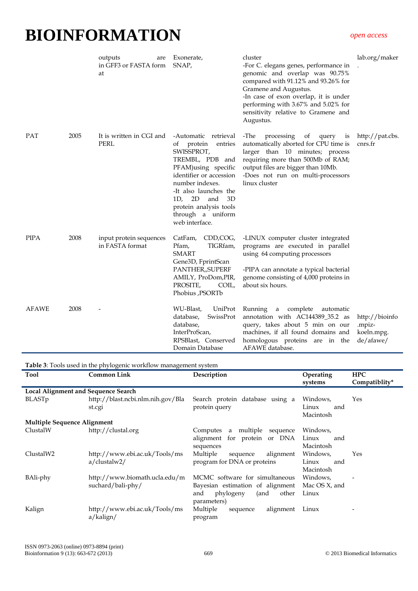|              |      | outputs<br>are<br>in GFF3 or FASTA form<br>at | Exonerate,<br>SNAP,                                                                                                                                                                                                                                                      | cluster<br>-For C. elegans genes, performance in<br>genomic and overlap was 90.75%<br>compared with 91.12% and 93.26% for<br>Gramene and Augustus.<br>-In case of exon overlap, it is under<br>performing with 3.67% and 5.02% for<br>sensitivity relative to Gramene and<br>Augustus. | lab.org/maker                                      |
|--------------|------|-----------------------------------------------|--------------------------------------------------------------------------------------------------------------------------------------------------------------------------------------------------------------------------------------------------------------------------|----------------------------------------------------------------------------------------------------------------------------------------------------------------------------------------------------------------------------------------------------------------------------------------|----------------------------------------------------|
| <b>PAT</b>   | 2005 | It is written in CGI and<br><b>PERL</b>       | -Automatic retrieval<br>of protein<br>entries<br>SWISSPROT,<br>TREMBL, PDB and<br>PFAM) using specific<br>identifier or accession<br>number indexes.<br>-It also launches the<br>and<br>3D<br>1D,<br>2D<br>protein analysis tools<br>through a uniform<br>web interface. | -The<br>of<br>processing<br>query<br><i>is</i><br>automatically aborted for CPU time is<br>larger than 10 minutes; process<br>requiring more than 500Mb of RAM;<br>output files are bigger than 10Mb.<br>-Does not run on multi-processors<br>linux cluster                            | http://pat.cbs.<br>cnrs.fr                         |
| <b>PIPA</b>  | 2008 | input protein sequences<br>in FASTA format    | CatFam,<br>CDD,COG,<br>TIGRfam,<br>Pfam,<br><b>SMART</b><br>Gene3D, FprintScan<br>PANTHER,, SUPERF<br>AMILY, ProDom,PIR,<br>PROSITE,<br>COIL,<br>Phobius ,PSORTb                                                                                                         | -LINUX computer cluster integrated<br>programs are executed in parallel<br>using 64 computing processors<br>-PIPA can annotate a typical bacterial<br>genome consisting of 4,000 proteins in<br>about six hours.                                                                       |                                                    |
| <b>AFAWE</b> | 2008 |                                               | WU-Blast,<br>UniProt<br>database,<br>SwissProt<br>database,<br>InterProScan,<br>RPSBlast, Conserved<br>Domain Database                                                                                                                                                   | Running<br>a complete<br>automatic<br>annotation with AC144389_35.2 as<br>query, takes about 5 min on our<br>machines, if all found domains and<br>homologous proteins are in the<br>AFAWE database.                                                                                   | http://bioinfo<br>mpiz-<br>koeln.mpg.<br>de/afawe/ |

**Table 3**: Tools used in the phylogenic workflow management system

| <b>Tool</b>                                | <b>Common Link</b>                                 | Description                                                                                                            | Operating<br>systems                  | <b>HPC</b><br>Compatiblity* |
|--------------------------------------------|----------------------------------------------------|------------------------------------------------------------------------------------------------------------------------|---------------------------------------|-----------------------------|
| <b>Local Alignment and Sequence Search</b> |                                                    |                                                                                                                        |                                       |                             |
| BLAST <sub>p</sub>                         | http://blast.ncbi.nlm.nih.gov/Bla<br>st.cgi        | Search protein database using a<br>protein query                                                                       | Windows,<br>Linux<br>and<br>Macintosh | Yes                         |
| <b>Multiple Sequence Alignment</b>         |                                                    |                                                                                                                        |                                       |                             |
| ClustalW                                   | http://clustal.org                                 | multiple sequence<br>Computes<br>a<br>alignment for protein or DNA<br>sequences                                        | Windows,<br>Linux<br>and<br>Macintosh |                             |
| ClustalW2                                  | http://www.ebi.ac.uk/Tools/ms<br>$a$ /clustalw2/   | Multiple<br>alignment<br>sequence<br>program for DNA or proteins                                                       | Windows,<br>Linux<br>and<br>Macintosh | Yes                         |
| BAli-phy                                   | http://www.biomath.ucla.edu/m<br>suchard/bali-phy/ | MCMC software for simultaneous<br>Bayesian estimation of alignment<br>phylogeny<br>and<br>(and<br>other<br>parameters) | Windows,<br>Mac OS X, and<br>Linux    |                             |
| Kalign                                     | http://www.ebi.ac.uk/Tools/ms<br>a/kalign/         | Multiple<br>alignment<br>sequence<br>program                                                                           | Linux                                 |                             |

í.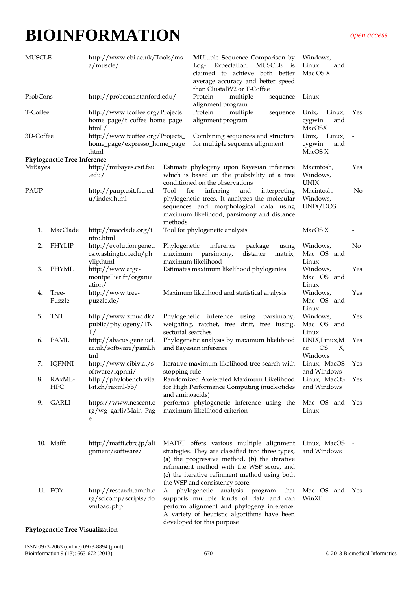| MUSCLE    |                             | http://www.ebi.ac.uk/Tools/ms<br>a/muscle/                                    |                         | <b>MUltiple Sequence Comparison by</b><br>Windows,<br>Log- Expectation. MUSCLE<br>is<br>claimed to achieve both better<br>average accuracy and better speed<br>than ClustalW2 or T-Coffee                                                                                       |                                             |                          |
|-----------|-----------------------------|-------------------------------------------------------------------------------|-------------------------|---------------------------------------------------------------------------------------------------------------------------------------------------------------------------------------------------------------------------------------------------------------------------------|---------------------------------------------|--------------------------|
| ProbCons  |                             | http://probcons.stanford.edu/                                                 |                         | Protein<br>multiple<br>sequence<br>alignment program                                                                                                                                                                                                                            | Linux                                       |                          |
| T-Coffee  |                             | http://www.tcoffee.org/Projects_<br>home_page/t_coffee_home_page.<br>html $/$ |                         | Protein<br>multiple<br>sequence<br>Unix,<br>alignment program<br>cygwin<br><b>MacOSX</b>                                                                                                                                                                                        |                                             | Yes                      |
| 3D-Coffee |                             | http://www.tcoffee.org/Projects_<br>home_page/expresso_home_page<br>.html     |                         | Combining sequences and structure<br>for multiple sequence alignment                                                                                                                                                                                                            | Unix,<br>Linux,<br>cygwin<br>and<br>MacOS X | $\overline{\phantom{a}}$ |
|           | Phylogenetic Tree Inference |                                                                               |                         |                                                                                                                                                                                                                                                                                 |                                             |                          |
| MrBayes   |                             | http://mrbayes.csit.fsu<br>.edu/                                              |                         | Estimate phylogeny upon Bayesian inference<br>which is based on the probability of a tree<br>conditioned on the observations                                                                                                                                                    | Macintosh,<br>Windows,<br><b>UNIX</b>       | Yes                      |
| PAUP      |                             | http://paup.csit.fsu.ed<br>u/index.html                                       | Tool<br>methods         | for<br>inferring<br>and<br>interpreting<br>phylogenetic trees. It analyzes the molecular<br>sequences and morphological data using<br>maximum likelihood, parsimony and distance                                                                                                | Macintosh,<br>Windows,<br>UNIX/DOS          | No.                      |
| 1.        | MacClade                    | http://macclade.org/i<br>ntro.html                                            |                         | Tool for phylogenetic analysis                                                                                                                                                                                                                                                  | MacOS X                                     |                          |
| 2.        | PHYLIP                      | http://evolution.geneti<br>cs.washington.edu/ph<br>ylip.html                  | Phylogenetic<br>maximum | inference<br>package<br>using<br>parsimony,<br>distance<br>matrix,<br>maximum likelihood                                                                                                                                                                                        | Windows,<br>Mac OS and<br>Linux             | No.                      |
| 3.        | PHYML                       | http://www.atgc-<br>montpellier.fr/organiz<br>ation/                          |                         | Estimates maximum likelihood phylogenies                                                                                                                                                                                                                                        | Windows,<br>Mac OS and<br>Linux             | Yes                      |
| 4.        | Tree-<br>Puzzle             | http://www.tree-<br>puzzle.de/                                                |                         | Maximum likelihood and statistical analysis                                                                                                                                                                                                                                     | Windows,<br>Mac OS and<br>Linux             | Yes                      |
| 5.        | <b>TNT</b>                  | http://www.zmuc.dk/<br>public/phylogeny/TN<br>T/                              | sectorial searches      | Phylogenetic inference using parsimony,<br>weighting, ratchet, tree drift, tree fusing,                                                                                                                                                                                         | Windows,<br>Mac OS and<br>Linux             | Yes                      |
| 6.        | <b>PAML</b>                 | http://abacus.gene.ucl.<br>ac.uk/software/paml.h<br>tml                       |                         | Phylogenetic analysis by maximum likelihood<br>and Bayesian inference                                                                                                                                                                                                           | UNIX, Linux, M<br>OS<br>Χ,<br>ac<br>Windows | Yes                      |
| 7.        | <b>IQPNNI</b>               | oftware/iqpnni/                                                               | stopping rule           | http://www.cibiv.at/s Iterative maximum likelihood tree search with Linux, MacOS Yes                                                                                                                                                                                            | and Windows                                 |                          |
| 8.        | RAxML-<br><b>HPC</b>        | http://phylobench.vita<br>l-it.ch/raxml-bb/                                   | and aminoacids)         | Randomized Axelerated Maximum Likelihood<br>for High Performance Computing (nucleotides                                                                                                                                                                                         | Linux, MacOS<br>and Windows                 | Yes                      |
| 9.        | <b>GARLI</b>                | https://www.nescent.o<br>rg/wg_garli/Main_Pag<br>e                            |                         | performs phylogenetic inference using the<br>maximum-likelihood criterion                                                                                                                                                                                                       | Mac OS and<br>Linux                         | Yes                      |
|           | 10. Mafft                   | http://mafft.cbrc.jp/ali<br>gnment/software/                                  |                         | MAFFT offers various multiple alignment<br>strategies. They are classified into three types,<br>(a) the progressive method, $(b)$ the iterative<br>refinement method with the WSP score, and<br>(c) the iterative refinment method using both<br>the WSP and consistency score. | Linux, MacOS<br>and Windows                 |                          |
|           | 11. POY                     | http://research.amnh.o<br>rg/scicomp/scripts/do<br>wnload.php                 | A                       | phylogenetic analysis program that<br>supports multiple kinds of data and can<br>perform alignment and phylogeny inference.<br>A variety of heuristic algorithms have been<br>developed for this purpose                                                                        | Mac OS and<br>WinXP                         | Yes                      |

### **Phylogenetic Tree Visualization**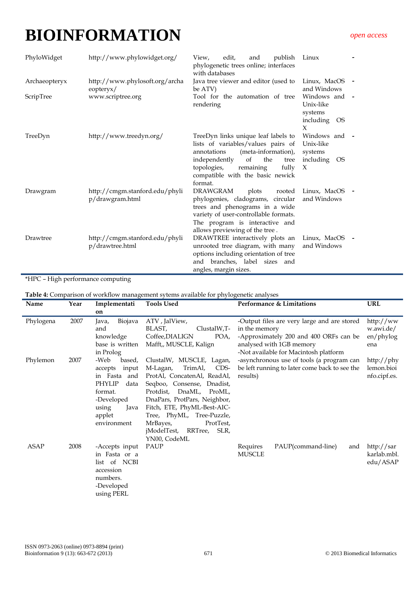| PhyloWidget   | http://www.phylowidget.org/                       | edit,<br>publish<br>View,<br>and<br>phylogenetic trees online; interfaces<br>with databases                                                                                                                                               | Linux                                                      |
|---------------|---------------------------------------------------|-------------------------------------------------------------------------------------------------------------------------------------------------------------------------------------------------------------------------------------------|------------------------------------------------------------|
| Archaeopteryx | http://www.phylosoft.org/archa<br>eopteryx/       | Java tree viewer and editor (used to<br>be ATV)                                                                                                                                                                                           | Linux, MacOS -<br>and Windows                              |
| ScripTree     | www.scriptree.org                                 | Tool for the automation of tree<br>rendering                                                                                                                                                                                              | Windows and<br>Unix-like<br>systems<br>including OS<br>X   |
| TreeDyn       | http://www.treedyn.org/                           | TreeDyn links unique leaf labels to<br>lists of variables/values pairs of<br>(meta-information),<br>annotations<br>of<br>independently<br>the<br>tree<br>topologies,<br>remaining<br>fully<br>compatible with the basic newick<br>format. | Windows and -<br>Unix-like<br>systems<br>including OS<br>X |
| Drawgram      | http://cmgm.stanford.edu/phyli<br>p/drawgram.html | <b>DRAWGRAM</b><br>plots<br>rooted<br>phylogenies, cladograms, circular<br>trees and phenograms in a wide<br>variety of user-controllable formats.<br>The program is interactive and<br>allows previewing of the tree.                    | Linux, MacOS<br>$\overline{\phantom{a}}$<br>and Windows    |
| Drawtree      | http://cmgm.stanford.edu/phyli<br>p/drawtree.html | DRAWTREE interactively plots an<br>unrooted tree diagram, with many<br>options including orientation of tree<br>and branches, label sizes and<br>angles, margin sizes.                                                                    | Linux, MacOS -<br>and Windows                              |

\*HPC – High performance computing

**Table 4:** Comparison of workflow management sytems available for phylogenetic analyses

| Name      | Year | Implementati                                                                                                                                      | <b>Tools Used</b>                                                                                                                                                                                                                                                                                                   | Performance & Limitations                                                                                                                                                   | <b>URL</b>                                 |
|-----------|------|---------------------------------------------------------------------------------------------------------------------------------------------------|---------------------------------------------------------------------------------------------------------------------------------------------------------------------------------------------------------------------------------------------------------------------------------------------------------------------|-----------------------------------------------------------------------------------------------------------------------------------------------------------------------------|--------------------------------------------|
|           |      | on                                                                                                                                                |                                                                                                                                                                                                                                                                                                                     |                                                                                                                                                                             |                                            |
| Phylogena | 2007 | Biojava<br>Java,<br>and<br>knowledge<br>base is written<br>in Prolog                                                                              | ATV , JalView,<br>ClustalW,T-<br>BLAST,<br>Coffee, DIALIGN<br>POA,<br>Mafft,, MUSCLE, Kalign                                                                                                                                                                                                                        | -Output files are very large and are stored<br>in the memory<br>-Approximately 200 and 400 ORFs can be<br>analysed with 1GB memory<br>-Not available for Macintosh platform | http://ww<br>w.awi.de/<br>en/phylog<br>ena |
| Phylemon  | 2007 | -Web<br>based,<br>input<br>accepts<br>in Fasta<br>and<br><b>PHYLIP</b><br>data<br>format.<br>-Developed<br>using<br>Java<br>applet<br>environment | ClustalW, MUSCLE, Lagan,<br>M-Lagan,<br>TrimAl,<br>CDS-<br>ProtAl, ConcatenAl, ReadAl,<br>Seqboo, Consense, Dnadist,<br>Protdist, DnaML,<br>ProML,<br>DnaPars, ProtPars, Neighbor,<br>Fitch, ETE, PhyML-Best-AIC-<br>Tree, PhyML, Tree-Puzzle,<br>ProtTest,<br>MrBayes,<br>jModelTest, RRTree, SLR,<br>YN00, CodeML | -asynchronous use of tools (a program can<br>be left running to later come back to see the<br>results)                                                                      | http://phy<br>lemon.bioi<br>nfo.cipf.es.   |
| ASAP      | 2008 | -Accepts input<br>in Fasta or a<br>list of NCBI<br>accession<br>numbers.<br>-Developed<br>using PERL                                              | PAUP                                                                                                                                                                                                                                                                                                                | PAUP(command-line)<br>Requires<br>and<br><b>MUSCLE</b>                                                                                                                      | http:// $sar$<br>karlab.mbl.<br>edu/ASAP   |